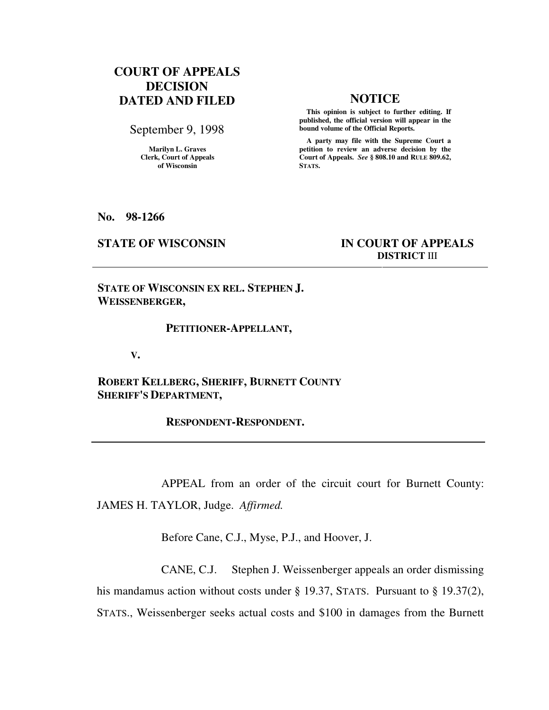# **COURT OF APPEALS DECISION DATED AND FILED NOTICE**

September 9, 1998

**Marilyn L. Graves Clerk, Court of Appeals of Wisconsin** 

 **This opinion is subject to further editing. If published, the official version will appear in the bound volume of the Official Reports.**

 **A party may file with the Supreme Court a petition to review an adverse decision by the Court of Appeals.** *See* **§ 808.10 and RULE 809.62, STATS.** 

**No. 98-1266** 

## **STATE OF WISCONSIN IN COURT OF APPEALS DISTRICT** III

**STATE OF WISCONSIN EX REL. STEPHEN J. WEISSENBERGER,** 

#### **PETITIONER-APPELLANT,**

 **V.** 

**ROBERT KELLBERG, SHERIFF, BURNETT COUNTY SHERIFF'S DEPARTMENT,** 

 **RESPONDENT-RESPONDENT.** 

 APPEAL from an order of the circuit court for Burnett County: JAMES H. TAYLOR, Judge. *Affirmed.*

Before Cane, C.J., Myse, P.J., and Hoover, J.

 CANE, C.J. Stephen J. Weissenberger appeals an order dismissing his mandamus action without costs under § 19.37, STATS. Pursuant to § 19.37(2), STATS., Weissenberger seeks actual costs and \$100 in damages from the Burnett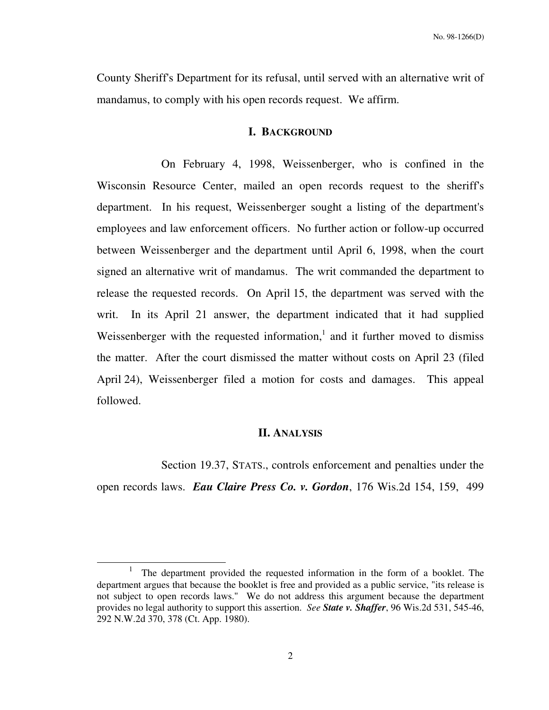County Sheriff's Department for its refusal, until served with an alternative writ of mandamus, to comply with his open records request. We affirm.

### **I. BACKGROUND**

 On February 4, 1998, Weissenberger, who is confined in the Wisconsin Resource Center, mailed an open records request to the sheriff's department. In his request, Weissenberger sought a listing of the department's employees and law enforcement officers. No further action or follow-up occurred between Weissenberger and the department until April 6, 1998, when the court signed an alternative writ of mandamus. The writ commanded the department to release the requested records. On April 15, the department was served with the writ. In its April 21 answer, the department indicated that it had supplied Weissenberger with the requested information, $<sup>1</sup>$  and it further moved to dismiss</sup> the matter. After the court dismissed the matter without costs on April 23 (filed April 24), Weissenberger filed a motion for costs and damages. This appeal followed.

### **II. ANALYSIS**

Section 19.37, STATS., controls enforcement and penalties under the open records laws. *Eau Claire Press Co. v. Gordon*, 176 Wis.2d 154, 159, 499

-

<sup>1</sup> The department provided the requested information in the form of a booklet. The department argues that because the booklet is free and provided as a public service, "its release is not subject to open records laws." We do not address this argument because the department provides no legal authority to support this assertion. *See State v. Shaffer*, 96 Wis.2d 531, 545-46, 292 N.W.2d 370, 378 (Ct. App. 1980).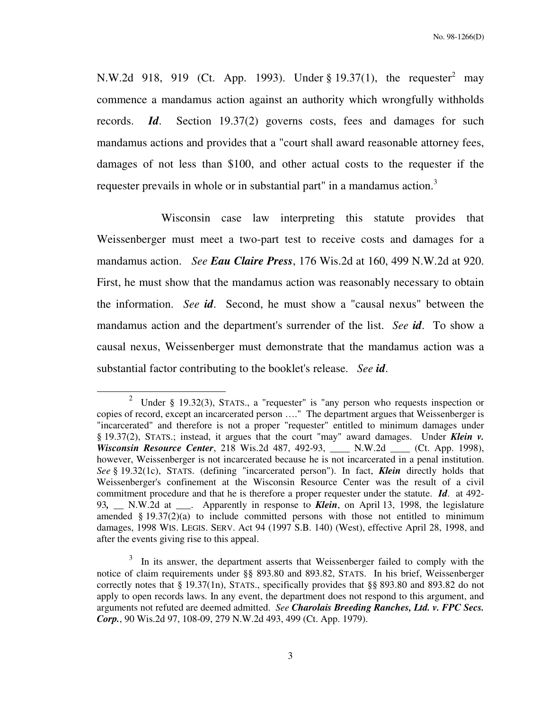N.W.2d 918, 919 (Ct. App. 1993). Under § 19.37(1), the requester<sup>2</sup> may commence a mandamus action against an authority which wrongfully withholds records. *Id*. Section 19.37(2) governs costs, fees and damages for such mandamus actions and provides that a "court shall award reasonable attorney fees, damages of not less than \$100, and other actual costs to the requester if the requester prevails in whole or in substantial part" in a mandamus action.<sup>3</sup>

 Wisconsin case law interpreting this statute provides that Weissenberger must meet a two-part test to receive costs and damages for a mandamus action. *See Eau Claire Press*, 176 Wis.2d at 160, 499 N.W.2d at 920. First, he must show that the mandamus action was reasonably necessary to obtain the information. *See id*. Second, he must show a "causal nexus" between the mandamus action and the department's surrender of the list. *See id*. To show a causal nexus, Weissenberger must demonstrate that the mandamus action was a substantial factor contributing to the booklet's release. *See id*.

j

<sup>2</sup> Under § 19.32(3), STATS., a "requester" is "any person who requests inspection or copies of record, except an incarcerated person …." The department argues that Weissenberger is "incarcerated" and therefore is not a proper "requester" entitled to minimum damages under § 19.37(2), STATS.; instead, it argues that the court "may" award damages. Under *Klein v. Wisconsin Resource Center*, 218 Wis.2d 487, 492-93, \_\_\_\_ N.W.2d \_\_\_\_ (Ct. App. 1998), however, Weissenberger is not incarcerated because he is not incarcerated in a penal institution. *See* § 19.32(1c), STATS. (defining "incarcerated person"). In fact, *Klein* directly holds that Weissenberger's confinement at the Wisconsin Resource Center was the result of a civil commitment procedure and that he is therefore a proper requester under the statute. *Id*. at 492- 93, N.W.2d at . Apparently in response to *Klein*, on April 13, 1998, the legislature amended  $§$  19.37(2)(a) to include committed persons with those not entitled to minimum damages, 1998 WIS. LEGIS. SERV. Act 94 (1997 S.B. 140) (West), effective April 28, 1998, and after the events giving rise to this appeal.

 $3$  In its answer, the department asserts that Weissenberger failed to comply with the notice of claim requirements under §§ 893.80 and 893.82, STATS. In his brief, Weissenberger correctly notes that § 19.37(1n), STATS., specifically provides that §§ 893.80 and 893.82 do not apply to open records laws. In any event, the department does not respond to this argument, and arguments not refuted are deemed admitted. *See Charolais Breeding Ranches, Ltd. v. FPC Secs. Corp.*, 90 Wis.2d 97, 108-09, 279 N.W.2d 493, 499 (Ct. App. 1979).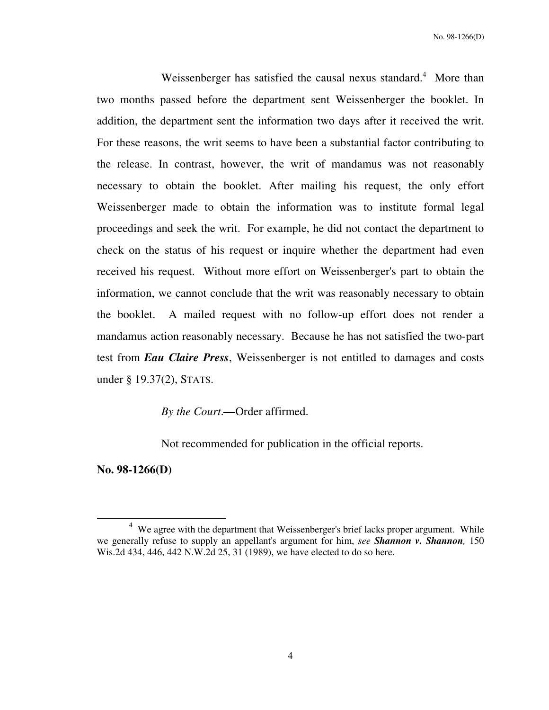Weissenberger has satisfied the causal nexus standard. $4$  More than two months passed before the department sent Weissenberger the booklet. In addition, the department sent the information two days after it received the writ. For these reasons, the writ seems to have been a substantial factor contributing to the release. In contrast, however, the writ of mandamus was not reasonably necessary to obtain the booklet. After mailing his request, the only effort Weissenberger made to obtain the information was to institute formal legal proceedings and seek the writ. For example, he did not contact the department to check on the status of his request or inquire whether the department had even received his request. Without more effort on Weissenberger's part to obtain the information, we cannot conclude that the writ was reasonably necessary to obtain the booklet. A mailed request with no follow-up effort does not render a mandamus action reasonably necessary. Because he has not satisfied the two-part test from *Eau Claire Press*, Weissenberger is not entitled to damages and costs under § 19.37(2), STATS.

*By the Court*.*—*Order affirmed.

Not recommended for publication in the official reports.

**No. 98-1266(D)** 

l

 $4$  We agree with the department that Weissenberger's brief lacks proper argument. While we generally refuse to supply an appellant's argument for him, *see Shannon v. Shannon,* 150 Wis.2d 434, 446, 442 N.W.2d 25, 31 (1989), we have elected to do so here.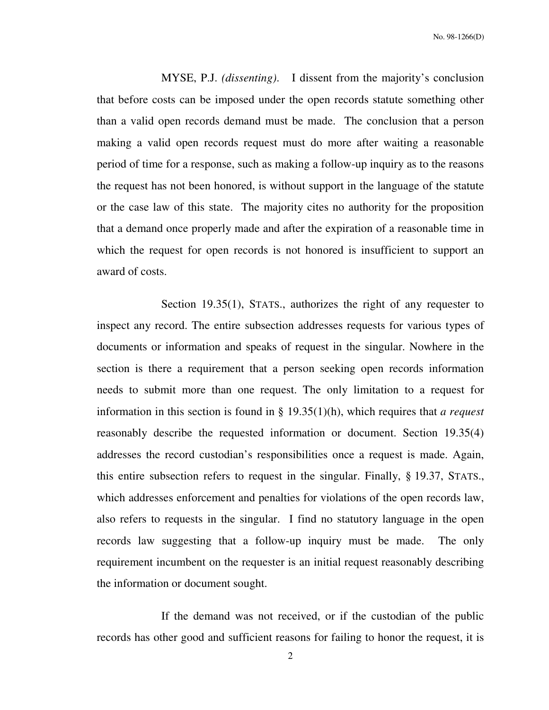MYSE, P.J. *(dissenting)*. I dissent from the majority's conclusion that before costs can be imposed under the open records statute something other than a valid open records demand must be made. The conclusion that a person making a valid open records request must do more after waiting a reasonable period of time for a response, such as making a follow-up inquiry as to the reasons the request has not been honored, is without support in the language of the statute or the case law of this state. The majority cites no authority for the proposition that a demand once properly made and after the expiration of a reasonable time in which the request for open records is not honored is insufficient to support an award of costs.

 Section 19.35(1), STATS., authorizes the right of any requester to inspect any record. The entire subsection addresses requests for various types of documents or information and speaks of request in the singular. Nowhere in the section is there a requirement that a person seeking open records information needs to submit more than one request. The only limitation to a request for information in this section is found in § 19.35(1)(h), which requires that *a request* reasonably describe the requested information or document. Section 19.35(4) addresses the record custodian's responsibilities once a request is made. Again, this entire subsection refers to request in the singular. Finally, § 19.37, STATS., which addresses enforcement and penalties for violations of the open records law, also refers to requests in the singular. I find no statutory language in the open records law suggesting that a follow-up inquiry must be made. The only requirement incumbent on the requester is an initial request reasonably describing the information or document sought.

 If the demand was not received, or if the custodian of the public records has other good and sufficient reasons for failing to honor the request, it is